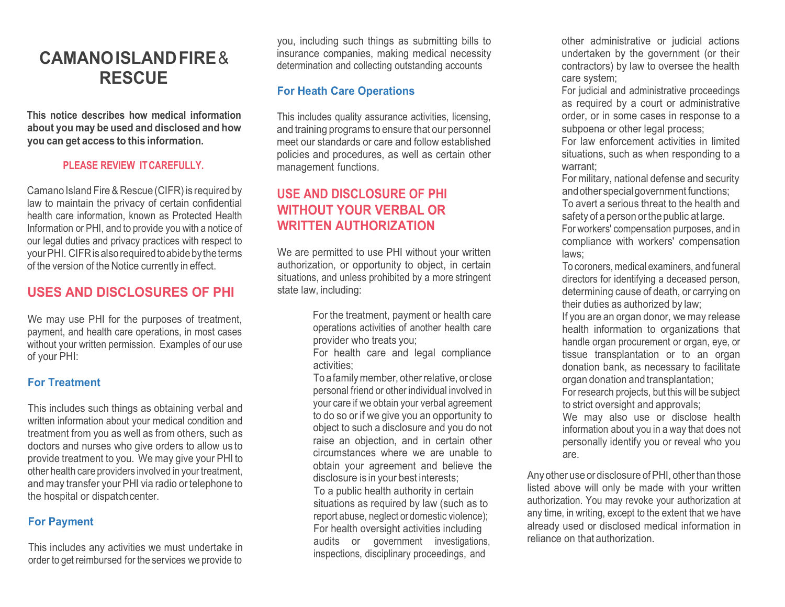# **CAMANOISLANDFIRE**& **RESCUE**

**This notice describes how medical information about you may be used and disclosed and how you can get access to this information.**

### **PLEASE REVIEW ITCAREFULLY.**

Camano Island Fire& Rescue (CIFR) is required by law to maintain the privacy of certain confidential health care information, known as Protected Health Information or PHI, and to provide you with a notice of our legal duties and privacy practices with respect to your PHI. CIFR is also required to abide by the terms of the version of the Notice currently in effect.

### **USES AND DISCLOSURES OF PHI**

We may use PHI for the purposes of treatment, payment, and health care operations, in most cases without your written permission. Examples of our use of your PHI:

### **For Treatment**

This includes such things as obtaining verbal and written information about your medical condition and treatment from you as well as from others, such as doctors and nurses who give orders to allow us to provide treatment to you. We may give your PHI to other health care providers involved in your treatment, and may transfer your PHI via radio or telephone to the hospital or dispatchcenter.

### **For Payment**

This includes any activities we must undertake in order to get reimbursed for the services we provide to you, including such things as submitting bills to insurance companies, making medical necessity determination and collecting outstanding accounts

### **For Heath Care Operations**

This includes quality assurance activities, licensing, and training programs to ensure that our personnel meet our standards or care and follow established policies and procedures, as well as certain other management functions.

# **USE AND DISCLOSURE OF PHI WITHOUT YOUR VERBAL OR WRITTEN AUTHORIZATION**

We are permitted to use PHI without your written authorization, or opportunity to object, in certain situations, and unless prohibited by a more stringent state law, including:

> For the treatment, payment or health care operations activities of another health care provider who treats you;

For health care and legal compliance activities;

To afamilymember, otherrelative, or close personal friend or other individual involved in your care if we obtain your verbal agreement to do so or if we give you an opportunity to object to such a disclosure and you do not raise an objection, and in certain other circumstances where we are unable to obtain your agreement and believe the disclosure is in your best interests; To a public health authority in certain situations as required by law (such as to report abuse, neglect or domestic violence); For health oversight activities including audits or government investigations, inspections, disciplinary proceedings, and

other administrative or judicial actions undertaken by the government (or their contractors) by law to oversee the health care system;

For judicial and administrative proceedings as required by a court or administrative order, or in some cases in response to a subpoena or other legal process;

For law enforcement activities in limited situations, such as when responding to a warrant;

For military, national defense and security andother specialgovernment functions;

To avert a serious threat to the health and safety of a person orthe public at large.

For workers' compensation purposes, and in compliance with workers' compensation laws;

To coroners, medical examiners, and funeral directors for identifying a deceased person, determining cause of death, or carrying on their duties as authorized by law;

If you are an organ donor, we may release health information to organizations that handle organ procurement or organ, eye, or tissue transplantation or to an organ donation bank, as necessary to facilitate organ donation and transplantation;

For research projects, but this will be subject to strict oversight and approvals;

We may also use or disclose health information about you in a way that does not personally identify you or reveal who you are.

Any other use or disclosure of PHI, other than those listed above will only be made with your written authorization. You may revoke your authorization at any time, in writing, except to the extent that we have already used or disclosed medical information in reliance on that authorization.